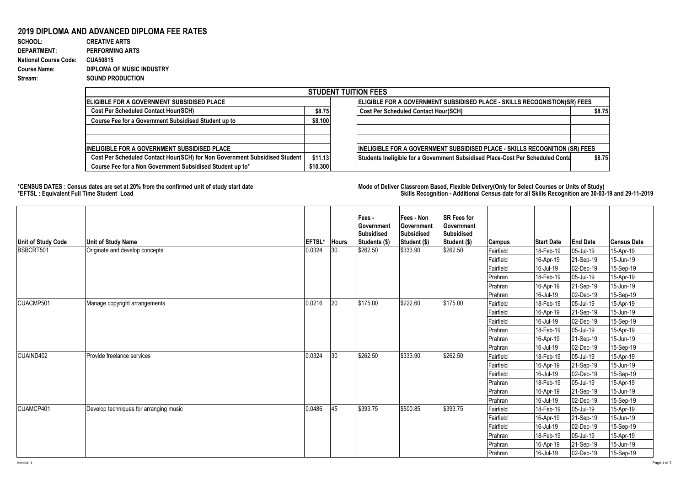## **2019 DIPLOMA AND ADVANCED DIPLOMA FEE RATES**

| SCHOOL:                      | <b>CREATIVE ARTS</b>      |
|------------------------------|---------------------------|
| <b>DEPARTMENT:</b>           | <b>PERFORMING ARTS</b>    |
| <b>National Course Code:</b> | <b>CUA50815</b>           |
| <b>Course Name:</b>          | DIPLOMA OF MUSIC INDUSTRY |
| Stream:                      | <b>SOUND PRODUCTION</b>   |

| <b>STUDENT TUITION FEES</b>                                                |          |                                                                                |        |  |  |  |  |  |
|----------------------------------------------------------------------------|----------|--------------------------------------------------------------------------------|--------|--|--|--|--|--|
| IELIGIBLE FOR A GOVERNMENT SUBSIDISED PLACE                                |          | ELIGIBLE FOR A GOVERNMENT SUBSIDISED PLACE - SKILLS RECOGNISTION(SR) FEES      |        |  |  |  |  |  |
| <b>Cost Per Scheduled Contact Hour(SCH)</b>                                | \$8.75   | <b>Cost Per Scheduled Contact Hour(SCH)</b>                                    | \$8.75 |  |  |  |  |  |
| Course Fee for a Government Subsidised Student up to                       | \$8,100  |                                                                                |        |  |  |  |  |  |
| <b>INELIGIBLE FOR A GOVERNMENT SUBSIDISED PLACE</b>                        |          | INELIGIBLE FOR A GOVERNMENT SUBSIDISED PLACE - SKILLS RECOGNITION (SR) FEES    |        |  |  |  |  |  |
| Cost Per Scheduled Contact Hour(SCH) for Non Government Subsidised Student | \$11.13  | Students Ineligible for a Government Subsidised Place-Cost Per Scheduled Conta | \$8.75 |  |  |  |  |  |
| Course Fee for a Non Government Subsidised Student up to*                  | \$10,300 |                                                                                |        |  |  |  |  |  |

**\*CENSUS DATES : Census dates are set at 20% from the confirmed unit of study start date Mode of Delivery:Classroom Based, Flexible Delivery(Only for Select Courses or Units of Study) \*EFTSL : Equivalent Full Time Student Load Skills Recognition - Additional Census date for all Skills Recognition are 30-03-19 and 29-11-2019** 

| <b>Unit of Study Code</b> | <b>Unit of Study Name</b>              | <b>EFTSL*</b> | <b>Hours</b> | Fees -<br>Government<br><b>Subsidised</b><br>Students (\$) | Fees - Non<br>Government<br><b>Subsidised</b><br>Student (\$) | <b>ISR Fees for</b><br>Government<br><b>Subsidised</b><br>Student (\$) | <b>Campus</b> | <b>Start Date</b> | <b>End Date</b> | <b>Census Date</b> |
|---------------------------|----------------------------------------|---------------|--------------|------------------------------------------------------------|---------------------------------------------------------------|------------------------------------------------------------------------|---------------|-------------------|-----------------|--------------------|
| BSBCRT501                 | Originate and develop concepts         | 0.0324        | 30           | \$262.50                                                   | \$333.90                                                      | \$262.50                                                               | Fairfield     | 18-Feb-19         | 05-Jul-19       | 15-Apr-19          |
|                           |                                        |               |              |                                                            |                                                               |                                                                        | Fairfield     | 16-Apr-19         | 21-Sep-19       | 15-Jun-19          |
|                           |                                        |               |              |                                                            |                                                               |                                                                        | Fairfield     | 16-Jul-19         | 02-Dec-19       | 15-Sep-19          |
|                           |                                        |               |              |                                                            |                                                               |                                                                        | Prahran       | 18-Feb-19         | 05-Jul-19       | 15-Apr-19          |
|                           |                                        |               |              |                                                            |                                                               |                                                                        | Prahran       | 16-Apr-19         | 21-Sep-19       | 15-Jun-19          |
|                           |                                        |               |              |                                                            |                                                               |                                                                        | Prahran       | 16-Jul-19         | 02-Dec-19       | 15-Sep-19          |
| CUACMP501                 | Manage copyright arrangements          | 0.0216        | 20           | \$175.00                                                   | \$222.60                                                      | \$175.00                                                               | Fairfield     | 18-Feb-19         | 05-Jul-19       | 15-Apr-19          |
|                           |                                        |               |              |                                                            |                                                               |                                                                        | Fairfield     | 16-Apr-19         | 21-Sep-19       | 15-Jun-19          |
|                           |                                        |               |              |                                                            |                                                               |                                                                        | Fairfield     | 16-Jul-19         | 02-Dec-19       | 15-Sep-19          |
|                           |                                        |               |              |                                                            |                                                               |                                                                        | Prahran       | 18-Feb-19         | 05-Jul-19       | 15-Apr-19          |
|                           |                                        |               |              |                                                            |                                                               |                                                                        | Prahran       | 16-Apr-19         | 21-Sep-19       | 15-Jun-19          |
|                           |                                        |               |              |                                                            |                                                               |                                                                        | Prahran       | 16-Jul-19         | 02-Dec-19       | 15-Sep-19          |
| CUAIND402                 | Provide freelance services             | 0.0324        | 30           | \$262.50                                                   | \$333.90                                                      | \$262.50                                                               | Fairfield     | 18-Feb-19         | 05-Jul-19       | 15-Apr-19          |
|                           |                                        |               |              |                                                            |                                                               |                                                                        | Fairfield     | 16-Apr-19         | 21-Sep-19       | 15-Jun-19          |
|                           |                                        |               |              |                                                            |                                                               |                                                                        | Fairfield     | 16-Jul-19         | 02-Dec-19       | 15-Sep-19          |
|                           |                                        |               |              |                                                            |                                                               |                                                                        | Prahran       | 18-Feb-19         | 05-Jul-19       | 15-Apr-19          |
|                           |                                        |               |              |                                                            |                                                               |                                                                        | Prahran       | 16-Apr-19         | 21-Sep-19       | 15-Jun-19          |
|                           |                                        |               |              |                                                            |                                                               |                                                                        | Prahran       | 16-Jul-19         | 02-Dec-19       | 15-Sep-19          |
| CUAMCP401                 | Develop techniques for arranging music | 0.0486        | 45           | \$393.75                                                   | \$500.85                                                      | \$393.75                                                               | Fairfield     | 18-Feb-19         | 05-Jul-19       | 15-Apr-19          |
|                           |                                        |               |              |                                                            |                                                               |                                                                        | Fairfield     | 16-Apr-19         | 21-Sep-19       | 15-Jun-19          |
|                           |                                        |               |              |                                                            |                                                               |                                                                        | Fairfield     | 16-Jul-19         | 02-Dec-19       | 15-Sep-19          |
|                           |                                        |               |              |                                                            |                                                               |                                                                        | Prahran       | 18-Feb-19         | 05-Jul-19       | 15-Apr-19          |
|                           |                                        |               |              |                                                            |                                                               |                                                                        | Prahran       | 16-Apr-19         | 21-Sep-19       | 15-Jun-19          |
|                           |                                        |               |              |                                                            |                                                               |                                                                        | Prahran       | 16-Jul-19         | 02-Dec-19       | 15-Sep-19          |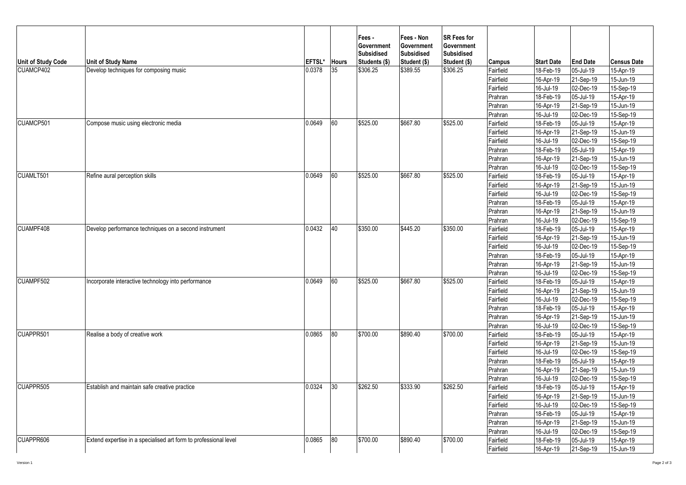| Unit of Study Code | <b>Unit of Study Name</b>                                        | EFTSL* | <b>Hours</b> | Fees -<br>Government<br><b>Subsidised</b><br>Students (\$) | Fees - Non<br>Government<br><b>Subsidised</b><br>Student (\$) | <b>SR Fees for</b><br>Government<br><b>Subsidised</b><br>Student (\$) | Campus    | <b>Start Date</b> | <b>End Date</b> | <b>Census Date</b> |
|--------------------|------------------------------------------------------------------|--------|--------------|------------------------------------------------------------|---------------------------------------------------------------|-----------------------------------------------------------------------|-----------|-------------------|-----------------|--------------------|
| CUAMCP402          | Develop techniques for composing music                           | 0.0378 | 35           | \$306.25                                                   | \$389.55                                                      | \$306.25                                                              | Fairfield | 18-Feb-19         | 05-Jul-19       | 15-Apr-19          |
|                    |                                                                  |        |              |                                                            |                                                               |                                                                       | Fairfield | 16-Apr-19         | 21-Sep-19       | 15-Jun-19          |
|                    |                                                                  |        |              |                                                            |                                                               |                                                                       | Fairfield | 16-Jul-19         | 02-Dec-19       | 15-Sep-19          |
|                    |                                                                  |        |              |                                                            |                                                               |                                                                       | Prahran   | 18-Feb-19         | 05-Jul-19       | 15-Apr-19          |
|                    |                                                                  |        |              |                                                            |                                                               |                                                                       | Prahran   | 16-Apr-19         | 21-Sep-19       | 15-Jun-19          |
|                    |                                                                  |        |              |                                                            |                                                               |                                                                       | Prahran   | 16-Jul-19         | 02-Dec-19       | 15-Sep-19          |
| CUAMCP501          | Compose music using electronic media                             | 0.0649 | 60           | \$525.00                                                   | \$667.80                                                      | \$525.00                                                              | Fairfield | 18-Feb-19         | 05-Jul-19       | 15-Apr-19          |
|                    |                                                                  |        |              |                                                            |                                                               |                                                                       | Fairfield | 16-Apr-19         | 21-Sep-19       | 15-Jun-19          |
|                    |                                                                  |        |              |                                                            |                                                               |                                                                       | Fairfield | 16-Jul-19         | 02-Dec-19       | 15-Sep-19          |
|                    |                                                                  |        |              |                                                            |                                                               |                                                                       | Prahran   | 18-Feb-19         | 05-Jul-19       | 15-Apr-19          |
|                    |                                                                  |        |              |                                                            |                                                               |                                                                       | Prahran   | 16-Apr-19         | 21-Sep-19       | 15-Jun-19          |
|                    |                                                                  |        |              |                                                            |                                                               |                                                                       | Prahran   | 16-Jul-19         | 02-Dec-19       | 15-Sep-19          |
| CUAMLT501          | Refine aural perception skills                                   | 0.0649 | 60           | \$525.00                                                   | \$667.80                                                      | \$525.00                                                              | Fairfield | 18-Feb-19         | 05-Jul-19       | 15-Apr-19          |
|                    |                                                                  |        |              |                                                            |                                                               |                                                                       | Fairfield | 16-Apr-19         | 21-Sep-19       | 15-Jun-19          |
|                    |                                                                  |        |              |                                                            |                                                               |                                                                       | Fairfield | 16-Jul-19         | 02-Dec-19       | 15-Sep-19          |
|                    |                                                                  |        |              |                                                            |                                                               |                                                                       | Prahran   | 18-Feb-19         | 05-Jul-19       | 15-Apr-19          |
|                    |                                                                  |        |              |                                                            |                                                               |                                                                       | Prahran   | 16-Apr-19         | 21-Sep-19       | 15-Jun-19          |
|                    |                                                                  |        |              |                                                            |                                                               |                                                                       | Prahran   | 16-Jul-19         | 02-Dec-19       | 15-Sep-19          |
| CUAMPF408          | Develop performance techniques on a second instrument            | 0.0432 | 40           | \$350.00                                                   | \$445.20                                                      | \$350.00                                                              | Fairfield | 18-Feb-19         | 05-Jul-19       | 15-Apr-19          |
|                    |                                                                  |        |              |                                                            |                                                               |                                                                       | Fairfield | 16-Apr-19         | 21-Sep-19       | 15-Jun-19          |
|                    |                                                                  |        |              |                                                            |                                                               |                                                                       | Fairfield | 16-Jul-19         | 02-Dec-19       | 15-Sep-19          |
|                    |                                                                  |        |              |                                                            |                                                               |                                                                       | Prahran   | 18-Feb-19         | 05-Jul-19       | 15-Apr-19          |
|                    |                                                                  |        |              |                                                            |                                                               |                                                                       | Prahran   | 16-Apr-19         | 21-Sep-19       | 15-Jun-19          |
|                    |                                                                  |        |              |                                                            |                                                               |                                                                       | Prahran   | 16-Jul-19         | 02-Dec-19       | 15-Sep-19          |
| CUAMPF502          | Incorporate interactive technology into performance              | 0.0649 | 60           | \$525.00                                                   | \$667.80                                                      | \$525.00                                                              | Fairfield | 18-Feb-19         | 05-Jul-19       | 15-Apr-19          |
|                    |                                                                  |        |              |                                                            |                                                               |                                                                       | Fairfield | 16-Apr-19         | 21-Sep-19       | 15-Jun-19          |
|                    |                                                                  |        |              |                                                            |                                                               |                                                                       | Fairfield | 16-Jul-19         | 02-Dec-19       | 15-Sep-19          |
|                    |                                                                  |        |              |                                                            |                                                               |                                                                       | Prahran   | 18-Feb-19         | 05-Jul-19       | 15-Apr-19          |
|                    |                                                                  |        |              |                                                            |                                                               |                                                                       | Prahran   | 16-Apr-19         | 21-Sep-19       | 15-Jun-19          |
|                    |                                                                  |        |              |                                                            |                                                               |                                                                       | Prahran   | 16-Jul-19         | 02-Dec-19       | 15-Sep-19          |
| CUAPPR501          | Realise a body of creative work                                  | 0.0865 | 80           | \$700.00                                                   | \$890.40                                                      | \$700.00                                                              | Fairfield | 18-Feb-19         | 05-Jul-19       | 15-Apr-19          |
|                    |                                                                  |        |              |                                                            |                                                               |                                                                       | Fairfield | 16-Apr-19         | 21-Sep-19       | 15-Jun-19          |
|                    |                                                                  |        |              |                                                            |                                                               |                                                                       | Fairfield | 16-Jul-19         | 02-Dec-19       | 15-Sep-19          |
|                    |                                                                  |        |              |                                                            |                                                               |                                                                       | Prahran   | 18-Feb-19         | 05-Jul-19       | 15-Apr-19          |
|                    |                                                                  |        |              |                                                            |                                                               |                                                                       | Prahran   | 16-Apr-19         | 21-Sep-19       | $15 - Jun - 19$    |
|                    |                                                                  |        |              | \$262.50                                                   | \$333.90                                                      | \$262.50                                                              | Prahran   | 16-Jul-19         | 02-Dec-19       | 15-Sep-19          |
| CUAPPR505          | Establish and maintain safe creative practice                    | 0.0324 | 30           |                                                            |                                                               |                                                                       | Fairfield | 18-Feb-19         | 05-Jul-19       | 15-Apr-19          |
|                    |                                                                  |        |              |                                                            |                                                               |                                                                       | Fairfield | 16-Apr-19         | 21-Sep-19       | 15-Jun-19          |
|                    |                                                                  |        |              |                                                            |                                                               |                                                                       | Fairfield | 16-Jul-19         | 02-Dec-19       | 15-Sep-19          |
|                    |                                                                  |        |              |                                                            |                                                               |                                                                       | Prahran   | 18-Feb-19         | 05-Jul-19       | 15-Apr-19          |
|                    |                                                                  |        |              |                                                            |                                                               |                                                                       | Prahran   | 16-Apr-19         | 21-Sep-19       | 15-Jun-19          |
|                    |                                                                  |        |              |                                                            |                                                               |                                                                       | Prahran   | 16-Jul-19         | 02-Dec-19       | 15-Sep-19          |
| CUAPPR606          | Extend expertise in a specialised art form to professional level | 0.0865 | 80           | \$700.00                                                   | \$890.40                                                      | \$700.00                                                              | Fairfield | 18-Feb-19         | 05-Jul-19       | 15-Apr-19          |
|                    |                                                                  |        |              |                                                            |                                                               |                                                                       | Fairfield | 16-Apr-19         | 21-Sep-19       | 15-Jun-19          |